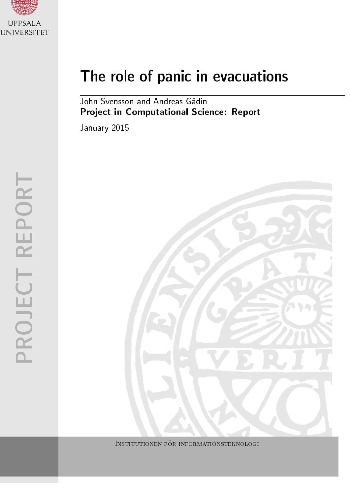

# The role of panic in evacuations

John Svensson and Andreas Gådin Project in Computational Science: Report

January 2015



INSTITUTIONEN FÖR INFORMATIONSTEKNOLOGI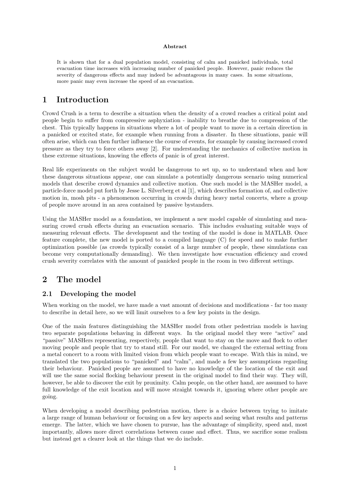#### Abstract

It is shown that for a dual population model, consisting of calm and panicked individuals, total evacuation time increases with increasing number of panicked people. However, panic reduces the severity of dangerous effects and may indeed be advantageous in many cases. In some situations, more panic may even increase the speed of an evacuation.

## 1 Introduction

Crowd Crush is a term to describe a situation when the density of a crowd reaches a critical point and people begin to suffer from compressive asphyxiation - inability to breathe due to compression of the chest. This typically happens in situations where a lot of people want to move in a certain direction in a panicked or excited state, for example when running from a disaster. In these situations, panic will often arise, which can then further influence the course of events, for example by causing increased crowd pressure as they try to force others away [2]. For understanding the mechanics of collective motion in these extreme situations, knowing the effects of panic is of great interest.

Real life experiments on the subject would be dangerous to set up, so to understand when and how these dangerous situations appear, one can simulate a potentially dangerous scenario using numerical models that describe crowd dynamics and collective motion. One such model is the MASHer model, a particle-force model put forth by Jesse L. Silverberg et al [1], which describes formation of, and collective motion in, mosh pits - a phenomenon occurring in crowds during heavy metal concerts, where a group of people move around in an area contained by passive bystanders.

Using the MASHer model as a foundation, we implement a new model capable of simulating and measuring crowd crush effects during an evacuation scenario. This includes evaluating suitable ways of measuring relevant effects. The development and the testing of the model is done in MATLAB. Once feature complete, the new model is ported to a compiled language (C) for speed and to make further optimization possible (as crowds typically consist of a large number of people, these simulations can become very computationally demanding). We then investigate how evacuation efficiency and crowd crush severity correlates with the amount of panicked people in the room in two different settings.

## 2 The model

#### 2.1 Developing the model

When working on the model, we have made a vast amount of decisions and modifications - far too many to describe in detail here, so we will limit ourselves to a few key points in the design.

One of the main features distinguishing the MASHer model from other pedestrian models is having two separate populations behaving in different ways. In the original model they were "active" and "passive" MASHers representing, respectively, people that want to stay on the move and flock to other moving people and people that try to stand still. For our model, we changed the external setting from a metal concert to a room with limited vision from which people want to escape. With this in mind, we translated the two populations to "panicked" and "calm", and made a few key assumptions regarding their behaviour. Panicked people are assumed to have no knowledge of the location of the exit and will use the same social flocking behaviour present in the original model to find their way. They will, however, be able to discover the exit by proximity. Calm people, on the other hand, are assumed to have full knowledge of the exit location and will move straight towards it, ignoring where other people are going.

When developing a model describing pedestrian motion, there is a choice between trying to imitate a large range of human behaviour or focusing on a few key aspects and seeing what results and patterns emerge. The latter, which we have chosen to pursue, has the advantage of simplicity, speed and, most importantly, allows more direct correlations between cause and effect. Thus, we sacrifice some realism but instead get a clearer look at the things that we do include.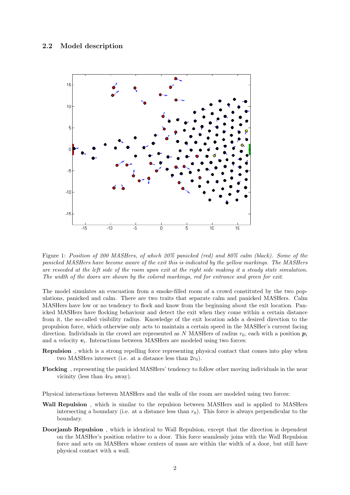#### 2.2 Model description



Figure 1: Position of 200 MASHers, of which 20% panicked (red) and 80% calm (black). Some of the panicked MASHers have become aware of the exit this is indicated by the yellow markings. The MASHers are reseeded at the left side of the room upon exit at the right side making it a steady state simulation. The width of the doors are shown by the colored markings, red for entrance and green for exit.

The model simulates an evacuation from a smoke-filled room of a crowd constituted by the two populations, panicked and calm. There are two traits that separate calm and panicked MASHers. Calm MASHers have low or no tendency to flock and know from the beginning about the exit location. Panicked MASHers have flocking behaviour and detect the exit when they come within a certain distance from it, the so-called visibility radius. Knowledge of the exit location adds a desired direction to the propulsion force, which otherwise only acts to maintain a certain speed in the MASHer's current facing direction. Individuals in the crowd are represented as N MASHers of radius  $r_0$ , each with a position  $p_i$ and a velocity  $v_i$ . Interactions between MASHers are modeled using two forces:

- Repulsion , which is a strong repelling force representing physical contact that comes into play when two MASHers intersect (i.e. at a distance less than  $2r_0$ ).
- Flocking , representing the panicked MASHers' tendency to follow other moving individuals in the near vicinity (less than  $4r_0$  away).

Physical interactions between MASHers and the walls of the room are modeled using two forces:

- Wall Repulsion, which is similar to the repulsion between MASHers and is applied to MASHers intersecting a boundary (i.e. at a distance less than  $r_0$ ). This force is always perpendicular to the boundary.
- Doorjamb Repulsion , which is identical to Wall Repulsion, except that the direction is dependent on the MASHer's position relative to a door. This force seamlessly joins with the Wall Repulsion force and acts on MASHers whose centers of mass are within the width of a door, but still have physical contact with a wall.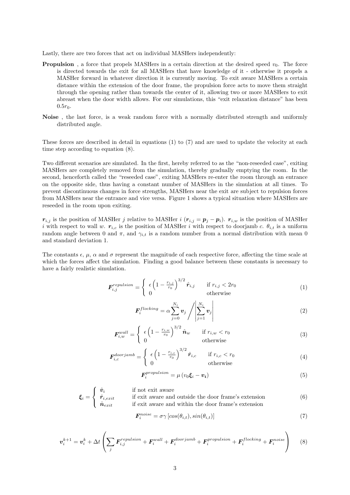Lastly, there are two forces that act on individual MASHers independently:

- **Propulsion**, a force that propels MASHers in a certain direction at the desired speed  $v_0$ . The force is directed towards the exit for all MASHers that have knowledge of it - otherwise it propels a MASHer forward in whatever direction it is currently moving. To exit aware MASHers a certain distance within the extension of the door frame, the propulsion force acts to move them straight through the opening rather than towards the center of it, allowing two or more MASHers to exit abreast when the door width allows. For our simulations, this "exit relaxation distance" has been  $0.5r_0$ .
- Noise , the last force, is a weak random force with a normally distributed strength and uniformly distributed angle.

These forces are described in detail in equations (1) to (7) and are used to update the velocity at each time step according to equation (8).

Two different scenarios are simulated. In the first, hereby referred to as the "non-reseeded case", exiting MASHers are completely removed from the simulation, thereby gradually emptying the room. In the second, henceforth called the "reseeded case", exiting MASHers re-enter the room through an entrance on the opposite side, thus having a constant number of MASHers in the simulation at all times. To prevent discontinuous changes in force strengths, MASHers near the exit are subject to repulsion forces from MASHers near the entrance and vice versa. Figure 1 shows a typical situation where MASHers are reseeded in the room upon exiting.

 $r_{i,j}$  is the position of MASHer j relative to MASHer i  $(r_{i,j} = p_j - p_i)$ .  $r_{i,w}$  is the position of MASHer i with respect to wall w.  $r_{i,c}$  is the position of MASHer i with respect to doorjamb c.  $\theta_{i,t}$  is a uniform random angle between 0 and  $\pi$ , and  $\gamma_{i,t}$  is a random number from a normal distribution with mean 0 and standard deviation 1.

The constants  $\epsilon$ ,  $\mu$ ,  $\alpha$  and  $\sigma$  represent the magnitude of each respective force, affecting the time scale at which the forces affect the simulation. Finding a good balance between these constants is necessary to have a fairly realistic simulation.

$$
\boldsymbol{F}_{i,j}^{repulsion} = \begin{cases} \epsilon \left(1 - \frac{r_{i,j}}{r_0}\right)^{3/2} \hat{\boldsymbol{r}}_{i,j} & \text{if } r_{i,j} < 2r_0\\ 0 & \text{otherwise} \end{cases} \tag{1}
$$

$$
\boldsymbol{F}_i^{flocking} = \alpha \sum_{j=0}^{N_i} \boldsymbol{v}_j \left/ \left| \sum_{j=1}^{N_i} \boldsymbol{v}_j \right| \right. \tag{2}
$$

$$
\mathbf{F}_{i,w}^{wall} = \begin{cases} \epsilon \left(1 - \frac{r_{i,w}}{r_0}\right)^{3/2} \hat{\mathbf{n}}_w & \text{if } r_{i,w} < r_0\\ 0 & \text{otherwise} \end{cases} \tag{3}
$$

$$
\boldsymbol{F}_{i,c}^{doorjamb} = \begin{cases} \epsilon \left(1 - \frac{r_{i,c}}{r_0}\right)^{3/2} \hat{\boldsymbol{r}}_{i,c} & \text{if } r_{i,c} < r_0\\ 0 & \text{otherwise} \end{cases} \tag{4}
$$

$$
F_i^{proputation} = \mu \left( v_0 \xi_i - v_i \right) \tag{5}
$$

$$
\boldsymbol{\xi}_{i} = \begin{cases} \hat{v}_{i} & \text{if not exit aware} \\ \hat{r}_{i, exit} & \text{if exit aware and outside the door frame's extension} \\ \hat{n}_{exit} & \text{if exit aware and within the door frame's extension} \end{cases} \tag{6}
$$

$$
F_i^{noise} = \sigma \gamma \left[ cos(\theta_{i,t}), sin(\theta_{i,t}) \right] \tag{7}
$$

$$
\boldsymbol{v}_i^{k+1} = \boldsymbol{v}_i^k + \Delta t \left( \sum_j \boldsymbol{F}_{i,j}^{repulsion} + \boldsymbol{F}_i^{wall} + \boldsymbol{F}_i^{doorjamb} + \boldsymbol{F}_i^{propulsion} + \boldsymbol{F}_i^{flocking} + \boldsymbol{F}_i^{noise} \right) \tag{8}
$$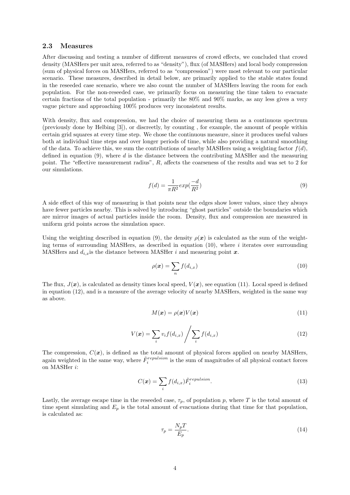#### 2.3 Measures

After discussing and testing a number of different measures of crowd effects, we concluded that crowd density (MASHers per unit area, referred to as "density"), flux (of MASHers) and local body compression (sum of physical forces on MASHers, referred to as "compression") were most relevant to our particular scenario. These measures, described in detail below, are primarily applied to the stable states found in the reseeded case scenario, where we also count the number of MASHers leaving the room for each population. For the non-reseeded case, we primarily focus on measuring the time taken to evacuate certain fractions of the total population - primarily the 80% and 90% marks, as any less gives a very vague picture and approaching 100% produces very inconsistent results.

With density, flux and compression, we had the choice of measuring them as a continuous spectrum (previously done by Helbing [3]), or discreetly, by counting , for example, the amount of people within certain grid squares at every time step. We chose the continuous measure, since it produces useful values both at individual time steps and over longer periods of time, while also providing a natural smoothing of the data. To achieve this, we sum the contributions of nearby MASHers using a weighting factor  $f(d)$ , defined in equation  $(9)$ , where d is the distance between the contributing MASHer and the measuring point. The "effective measurement radius", R, affects the coarseness of the results and was set to 2 for our simulations.

$$
f(d) = \frac{1}{\pi R^2} exp(\frac{-d}{R^2})
$$
\n<sup>(9)</sup>

A side effect of this way of measuring is that points near the edges show lower values, since they always have fewer particles nearby. This is solved by introducing "ghost particles" outside the boundaries which are mirror images of actual particles inside the room. Density, flux and compression are measured in uniform grid points across the simulation space.

Using the weighting described in equation (9), the density  $\rho(x)$  is calculated as the sum of the weighting terms of surrounding MASHers, as described in equation  $(10)$ , where i iterates over surrounding MASHers and  $d_{i,x}$  is the distance between MASHer i and measuring point x.

$$
\rho(\boldsymbol{x}) = \sum_{n} f(d_{i,x}) \tag{10}
$$

The flux,  $J(x)$ , is calculated as density times local speed,  $V(x)$ , see equation (11). Local speed is defined in equation (12), and is a measure of the average velocity of nearby MASHers, weighted in the same way as above.

$$
M(\mathbf{x}) = \rho(\mathbf{x})V(\mathbf{x})\tag{11}
$$

$$
V(\boldsymbol{x}) = \sum_{i} v_i f(d_{i,x}) / \sum_{i} f(d_{i,x})
$$
\n(12)

The compression,  $C(\mathbf{x})$ , is defined as the total amount of physical forces applied on nearby MASHers, again weighted in the same way, where  $\tilde{F}_i^{repulsion}$  is the sum of magnitudes of all physical contact forces on MASHer i:

$$
C(\boldsymbol{x}) = \sum_{i} f(d_{i,x}) \tilde{F}_i^{repulsion}.
$$
\n(13)

Lastly, the average escape time in the reseeded case,  $\tau_p$ , of population p, where T is the total amount of time spent simulating and  $E_p$  is the total amount of evacuations during that time for that population, is calculated as:

$$
\tau_p = \frac{N_p T}{E_p}.\tag{14}
$$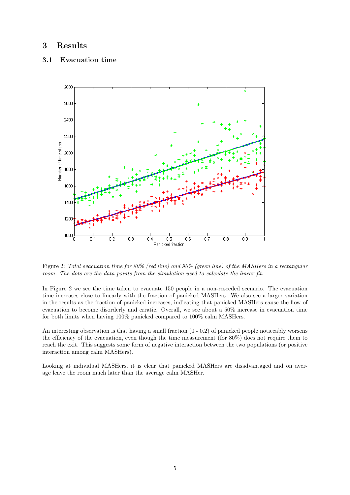# 3 Results

#### 3.1 Evacuation time



Figure 2: Total evacuation time for 80% (red line) and 90% (green line) of the MASHers in a rectangular room. The dots are the data points from the simulation used to calculate the linear fit.

In Figure 2 we see the time taken to evacuate 150 people in a non-reseeded scenario. The evacuation time increases close to linearly with the fraction of panicked MASHers. We also see a larger variation in the results as the fraction of panicked increases, indicating that panicked MASHers cause the flow of evacuation to become disorderly and erratic. Overall, we see about a 50% increase in evacuation time for both limits when having 100% panicked compared to 100% calm MASHers.

An interesting observation is that having a small fraction  $(0 - 0.2)$  of panicked people noticeably worsens the efficiency of the evacuation, even though the time measurement (for 80%) does not require them to reach the exit. This suggests some form of negative interaction between the two populations (or positive interaction among calm MASHers).

Looking at individual MASHers, it is clear that panicked MASHers are disadvantaged and on average leave the room much later than the average calm MASHer.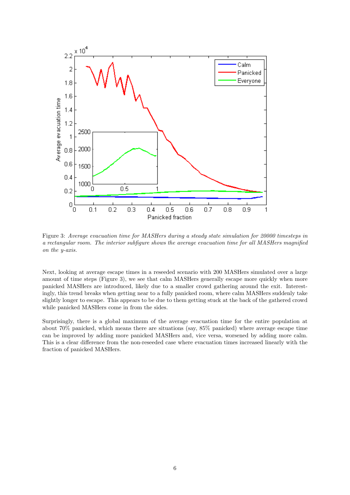

Figure 3: Average evacuation time for MASHers during a steady state simulation for 20000 timesteps in a rectangular room. The interior subfigure shows the average evacuation time for all MASHers magnified on the y-axis.

Next, looking at average escape times in a reseeded scenario with 200 MASHers simulated over a large amount of time steps (Figure 3), we see that calm MASHers generally escape more quickly when more panicked MASHers are introduced, likely due to a smaller crowd gathering around the exit. Interestingly, this trend breaks when getting near to a fully panicked room, where calm MASHers suddenly take slightly longer to escape. This appears to be due to them getting stuck at the back of the gathered crowd while panicked MASHers come in from the sides.

Surprisingly, there is a global maximum of the average evacuation time for the entire population at about 70% panicked, which means there are situations (say, 85% panicked) where average escape time can be improved by adding more panicked MASHers and, vice versa, worsened by adding more calm. This is a clear difference from the non-reseeded case where evacuation times increased linearly with the fraction of panicked MASHers.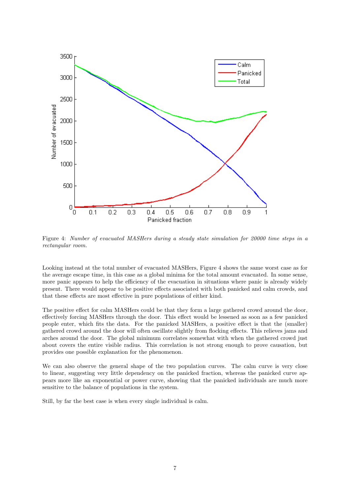

Figure 4: Number of evacuated MASHers during a steady state simulation for 20000 time steps in a rectangular room.

Looking instead at the total number of evacuated MASHers, Figure 4 shows the same worst case as for the average escape time, in this case as a global minima for the total amount evacuated. In some sense, more panic appears to help the efficiency of the evacuation in situations where panic is already widely present. There would appear to be positive effects associated with both panicked and calm crowds, and that these effects are most effective in pure populations of either kind.

The positive effect for calm MASHers could be that they form a large gathered crowd around the door, effectively forcing MASHers through the door. This effect would be lessened as soon as a few panicked people enter, which fits the data. For the panicked MASHers, a positive effect is that the (smaller) gathered crowd around the door will often oscillate slightly from flocking effects. This relieves jams and arches around the door. The global minimum correlates somewhat with when the gathered crowd just about covers the entire visible radius. This correlation is not strong enough to prove causation, but provides one possible explanation for the phenomenon.

We can also observe the general shape of the two population curves. The calm curve is very close to linear, suggesting very little dependency on the panicked fraction, whereas the panicked curve appears more like an exponential or power curve, showing that the panicked individuals are much more sensitive to the balance of populations in the system.

Still, by far the best case is when every single individual is calm.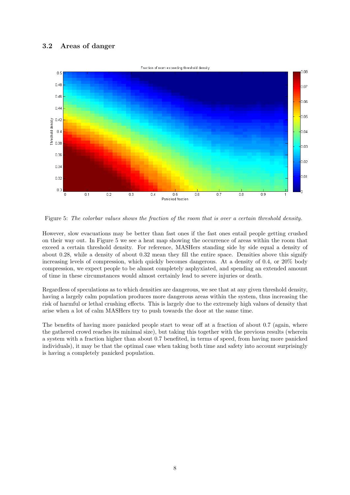### 3.2 Areas of danger



Figure 5: The colorbar values shows the fraction of the room that is over a certain threshold density.

However, slow evacuations may be better than fast ones if the fast ones entail people getting crushed on their way out. In Figure 5 we see a heat map showing the occurrence of areas within the room that exceed a certain threshold density. For reference, MASHers standing side by side equal a density of about 0.28, while a density of about 0.32 mean they fill the entire space. Densities above this signify increasing levels of compression, which quickly becomes dangerous. At a density of 0.4, or 20% body compression, we expect people to be almost completely asphyxiated, and spending an extended amount of time in these circumstances would almost certainly lead to severe injuries or death.

Regardless of speculations as to which densities are dangerous, we see that at any given threshold density, having a largely calm population produces more dangerous areas within the system, thus increasing the risk of harmful or lethal crushing effects. This is largely due to the extremely high values of density that arise when a lot of calm MASHers try to push towards the door at the same time.

The benefits of having more panicked people start to wear off at a fraction of about 0.7 (again, where the gathered crowd reaches its minimal size), but taking this together with the previous results (wherein a system with a fraction higher than about 0.7 benefited, in terms of speed, from having more panicked individuals), it may be that the optimal case when taking both time and safety into account surprisingly is having a completely panicked population.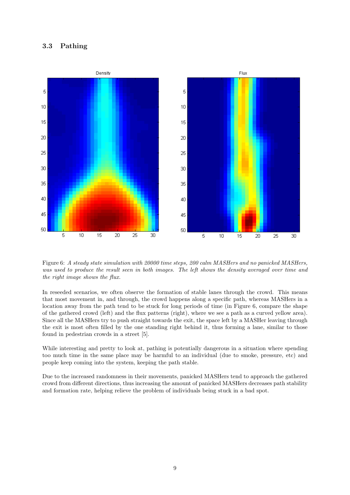#### 3.3 Pathing



Figure 6: A steady state simulation with 20000 time steps, 200 calm MASHers and no panicked MASHers, was used to produce the result seen in both images. The left shows the density averaged over time and the right image shows the flux.

In reseeded scenarios, we often observe the formation of stable lanes through the crowd. This means that most movement in, and through, the crowd happens along a specific path, whereas MASHers in a location away from the path tend to be stuck for long periods of time (in Figure 6, compare the shape of the gathered crowd (left) and the flux patterns (right), where we see a path as a curved yellow area). Since all the MASHers try to push straight towards the exit, the space left by a MASHer leaving through the exit is most often filled by the one standing right behind it, thus forming a lane, similar to those found in pedestrian crowds in a street [5].

While interesting and pretty to look at, pathing is potentially dangerous in a situation where spending too much time in the same place may be harmful to an individual (due to smoke, pressure, etc) and people keep coming into the system, keeping the path stable.

Due to the increased randomness in their movements, panicked MASHers tend to approach the gathered crowd from different directions, thus increasing the amount of panicked MASHers decreases path stability and formation rate, helping relieve the problem of individuals being stuck in a bad spot.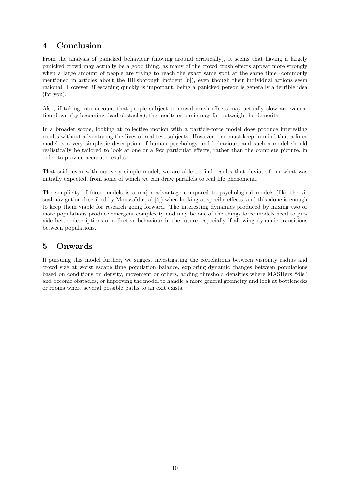# 4 Conclusion

From the analysis of panicked behaviour (moving around erratically), it seems that having a largely panicked crowd may actually be a good thing, as many of the crowd crush effects appear more strongly when a large amount of people are trying to reach the exact same spot at the same time (commonly mentioned in articles about the Hillsborough incident [6]), even though their individual actions seem rational. However, if escaping quickly is important, being a panicked person is generally a terrible idea (for you).

Also, if taking into account that people subject to crowd crush effects may actually slow an evacuation down (by becoming dead obstacles), the merits or panic may far outweigh the demerits.

In a broader scope, looking at collective motion with a particle-force model does produce interesting results without adventuring the lives of real test subjects. However, one must keep in mind that a force model is a very simplistic description of human psychology and behaviour, and such a model should realistically be tailored to look at one or a few particular effects, rather than the complete picture, in order to provide accurate results.

That said, even with our very simple model, we are able to find results that deviate from what was initially expected, from some of which we can draw parallels to real life phenomena.

The simplicity of force models is a major advantage compared to psychological models (like the visual navigation described by Moussaïd et al [4]) when looking at specific effects, and this alone is enough to keep them viable for research going forward. The interesting dynamics produced by mixing two or more populations produce emergent complexity and may be one of the things force models need to provide better descriptions of collective behaviour in the future, especially if allowing dynamic transitions between populations.

# 5 Onwards

If pursuing this model further, we suggest investigating the correlations between visibility radius and crowd size at worst escape time population balance, exploring dynamic changes between populations based on conditions on density, movement or others, adding threshold densities where MASHers "die" and become obstacles, or improving the model to handle a more general geometry and look at bottlenecks or rooms where several possible paths to an exit exists.